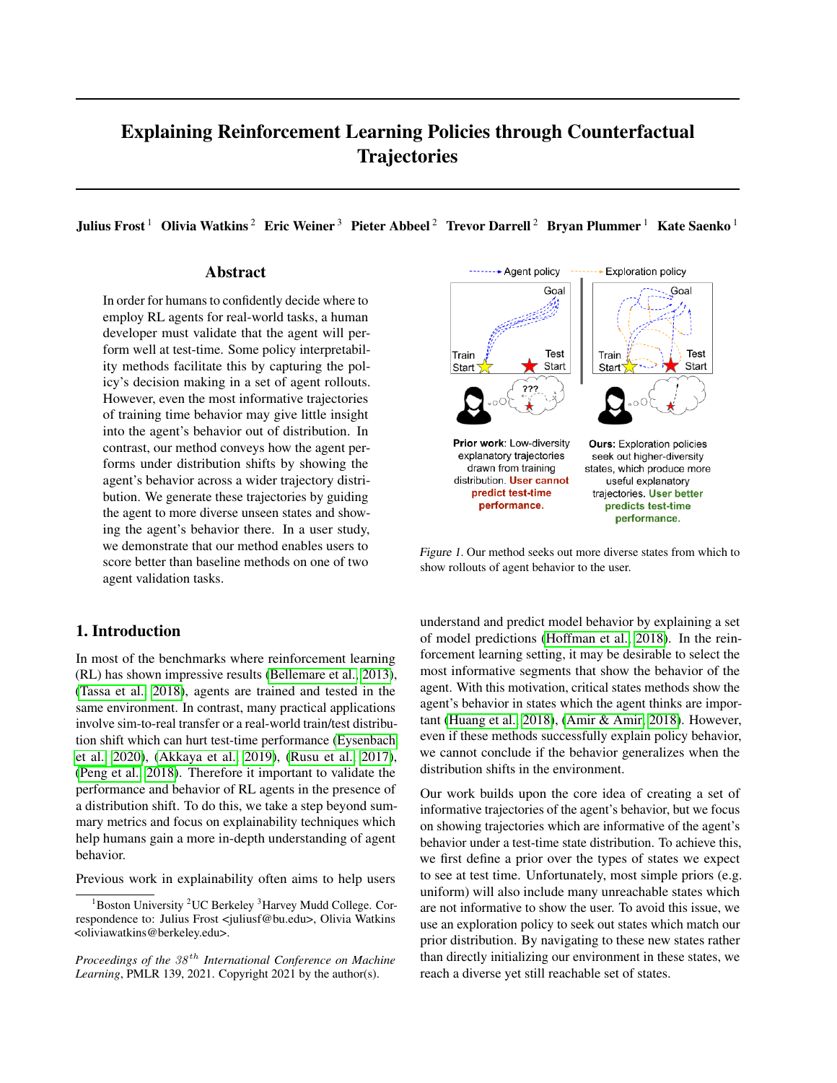# Explaining Reinforcement Learning Policies through Counterfactual **Trajectories**

Julius Frost<sup>1</sup> Olivia Watkins<sup>2</sup> Eric Weiner<sup>3</sup> Pieter Abbeel<sup>2</sup> Trevor Darrell<sup>2</sup> Bryan Plummer<sup>1</sup> Kate Saenko<sup>1</sup>

# Abstract

In order for humans to confidently decide where to employ RL agents for real-world tasks, a human developer must validate that the agent will perform well at test-time. Some policy interpretability methods facilitate this by capturing the policy's decision making in a set of agent rollouts. However, even the most informative trajectories of training time behavior may give little insight into the agent's behavior out of distribution. In contrast, our method conveys how the agent performs under distribution shifts by showing the agent's behavior across a wider trajectory distribution. We generate these trajectories by guiding the agent to more diverse unseen states and showing the agent's behavior there. In a user study, we demonstrate that our method enables users to score better than baseline methods on one of two agent validation tasks.

# 1. Introduction

In most of the benchmarks where reinforcement learning (RL) has shown impressive results [\(Bellemare et al., 2013\)](#page-6-0), [\(Tassa et al., 2018\)](#page-6-1), agents are trained and tested in the same environment. In contrast, many practical applications involve sim-to-real transfer or a real-world train/test distribution shift which can hurt test-time performance [\(Eysenbach](#page-6-2) [et al., 2020\)](#page-6-2), [\(Akkaya et al., 2019\)](#page-6-3), [\(Rusu et al., 2017\)](#page-6-4), [\(Peng et al., 2018\)](#page-6-5). Therefore it important to validate the performance and behavior of RL agents in the presence of a distribution shift. To do this, we take a step beyond summary metrics and focus on explainability techniques which help humans gain a more in-depth understanding of agent behavior.

Previous work in explainability often aims to help users



Figure 1. Our method seeks out more diverse states from which to show rollouts of agent behavior to the user.

understand and predict model behavior by explaining a set of model predictions [\(Hoffman et al., 2018\)](#page-6-6). In the reinforcement learning setting, it may be desirable to select the most informative segments that show the behavior of the agent. With this motivation, critical states methods show the agent's behavior in states which the agent thinks are important [\(Huang et al., 2018\)](#page-6-7), [\(Amir & Amir, 2018\)](#page-6-8). However, even if these methods successfully explain policy behavior, we cannot conclude if the behavior generalizes when the distribution shifts in the environment.

Our work builds upon the core idea of creating a set of informative trajectories of the agent's behavior, but we focus on showing trajectories which are informative of the agent's behavior under a test-time state distribution. To achieve this, we first define a prior over the types of states we expect to see at test time. Unfortunately, most simple priors (e.g. uniform) will also include many unreachable states which are not informative to show the user. To avoid this issue, we use an exploration policy to seek out states which match our prior distribution. By navigating to these new states rather than directly initializing our environment in these states, we reach a diverse yet still reachable set of states.

 $1B$ oston University  $2UC$  Berkeley  $3H$ arvey Mudd College. Correspondence to: Julius Frost <juliusf@bu.edu>, Olivia Watkins <oliviawatkins@berkeley.edu>.

*Proceedings of the*  $38<sup>th</sup>$  *International Conference on Machine Learning*, PMLR 139, 2021. Copyright 2021 by the author(s).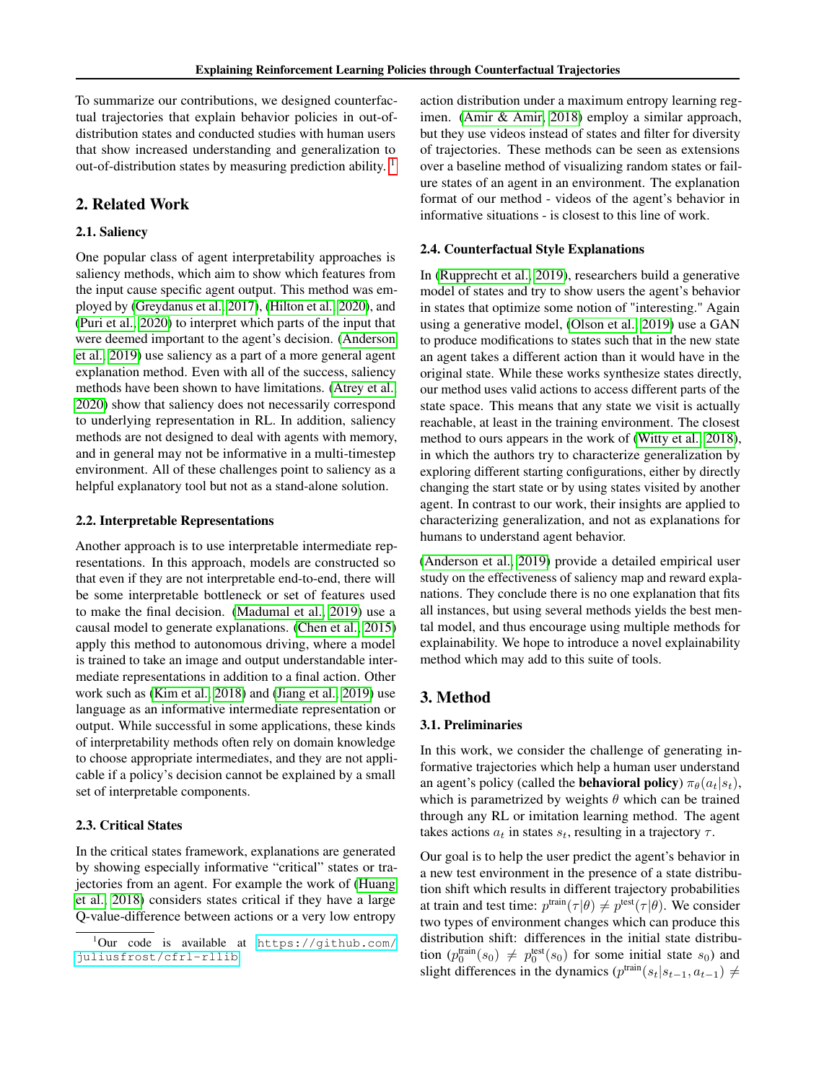To summarize our contributions, we designed counterfactual trajectories that explain behavior policies in out-ofdistribution states and conducted studies with human users that show increased understanding and generalization to out-of-distribution states by measuring prediction ability.<sup>[1](#page-1-0)</sup>

# 2. Related Work

## 2.1. Saliency

One popular class of agent interpretability approaches is saliency methods, which aim to show which features from the input cause specific agent output. This method was employed by [\(Greydanus et al., 2017\)](#page-6-9), [\(Hilton et al., 2020\)](#page-6-10), and [\(Puri et al., 2020\)](#page-6-11) to interpret which parts of the input that were deemed important to the agent's decision. [\(Anderson](#page-6-12) [et al., 2019\)](#page-6-12) use saliency as a part of a more general agent explanation method. Even with all of the success, saliency methods have been shown to have limitations. [\(Atrey et al.,](#page-6-13) [2020\)](#page-6-13) show that saliency does not necessarily correspond to underlying representation in RL. In addition, saliency methods are not designed to deal with agents with memory, and in general may not be informative in a multi-timestep environment. All of these challenges point to saliency as a helpful explanatory tool but not as a stand-alone solution.

#### 2.2. Interpretable Representations

Another approach is to use interpretable intermediate representations. In this approach, models are constructed so that even if they are not interpretable end-to-end, there will be some interpretable bottleneck or set of features used to make the final decision. [\(Madumal et al., 2019\)](#page-6-14) use a causal model to generate explanations. [\(Chen et al., 2015\)](#page-6-15) apply this method to autonomous driving, where a model is trained to take an image and output understandable intermediate representations in addition to a final action. Other work such as [\(Kim et al., 2018\)](#page-6-16) and [\(Jiang et al., 2019\)](#page-6-17) use language as an informative intermediate representation or output. While successful in some applications, these kinds of interpretability methods often rely on domain knowledge to choose appropriate intermediates, and they are not applicable if a policy's decision cannot be explained by a small set of interpretable components.

# 2.3. Critical States

In the critical states framework, explanations are generated by showing especially informative "critical" states or trajectories from an agent. For example the work of [\(Huang](#page-6-7) [et al., 2018\)](#page-6-7) considers states critical if they have a large Q-value-difference between actions or a very low entropy

action distribution under a maximum entropy learning regimen. [\(Amir & Amir, 2018\)](#page-6-8) employ a similar approach, but they use videos instead of states and filter for diversity of trajectories. These methods can be seen as extensions over a baseline method of visualizing random states or failure states of an agent in an environment. The explanation format of our method - videos of the agent's behavior in informative situations - is closest to this line of work.

#### 2.4. Counterfactual Style Explanations

In [\(Rupprecht et al., 2019\)](#page-6-18), researchers build a generative model of states and try to show users the agent's behavior in states that optimize some notion of "interesting." Again using a generative model, [\(Olson et al., 2019\)](#page-6-19) use a GAN to produce modifications to states such that in the new state an agent takes a different action than it would have in the original state. While these works synthesize states directly, our method uses valid actions to access different parts of the state space. This means that any state we visit is actually reachable, at least in the training environment. The closest method to ours appears in the work of [\(Witty et al., 2018\)](#page-6-20), in which the authors try to characterize generalization by exploring different starting configurations, either by directly changing the start state or by using states visited by another agent. In contrast to our work, their insights are applied to characterizing generalization, and not as explanations for humans to understand agent behavior.

[\(Anderson et al., 2019\)](#page-6-12) provide a detailed empirical user study on the effectiveness of saliency map and reward explanations. They conclude there is no one explanation that fits all instances, but using several methods yields the best mental model, and thus encourage using multiple methods for explainability. We hope to introduce a novel explainability method which may add to this suite of tools.

# 3. Method

#### 3.1. Preliminaries

In this work, we consider the challenge of generating informative trajectories which help a human user understand an agent's policy (called the **behavioral policy**)  $\pi_{\theta}(a_t|s_t)$ , which is parametrized by weights  $\theta$  which can be trained through any RL or imitation learning method. The agent takes actions  $a_t$  in states  $s_t$ , resulting in a trajectory  $\tau$ .

Our goal is to help the user predict the agent's behavior in a new test environment in the presence of a state distribution shift which results in different trajectory probabilities at train and test time:  $p^{\text{train}}(\tau | \theta) \neq p^{\text{test}}(\tau | \theta)$ . We consider two types of environment changes which can produce this distribution shift: differences in the initial state distribution  $(p_0^{\text{train}}(s_0) \neq p_0^{\text{test}}(s_0)$  for some initial state  $s_0$ ) and slight differences in the dynamics ( $p^{\text{train}}(s_t|s_{t-1}, a_{t-1}) \neq$ 

<span id="page-1-0"></span> $1$ Our code is available at [https://github.com/](https://github.com/juliusfrost/cfrl-rllib) [juliusfrost/cfrl-rllib](https://github.com/juliusfrost/cfrl-rllib)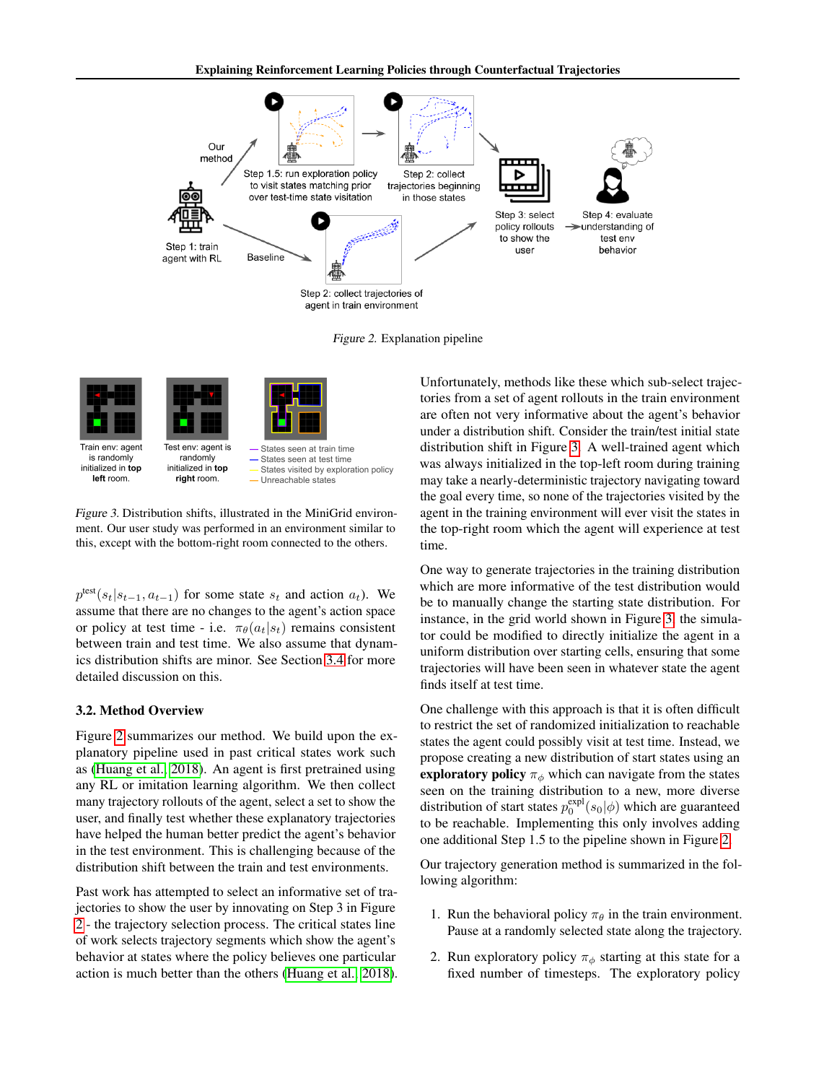

<span id="page-2-0"></span>Figure 2. Explanation pipeline

| Train env: agent   | Test env: agent is | - States seen at train time          |
|--------------------|--------------------|--------------------------------------|
| is randomly        | randomly           | - States seen at test time           |
| initialized in top | initialized in top | States visited by exploration policy |
| left room.         | right room.        | - Unreachable states                 |

<span id="page-2-1"></span>Figure 3. Distribution shifts, illustrated in the MiniGrid environment. Our user study was performed in an environment similar to this, except with the bottom-right room connected to the others.

 $p^{\text{test}}(s_t|s_{t-1}, a_{t-1})$  for some state  $s_t$  and action  $a_t$ ). We assume that there are no changes to the agent's action space or policy at test time - i.e.  $\pi_{\theta}(a_t|s_t)$  remains consistent between train and test time. We also assume that dynamics distribution shifts are minor. See Section [3.4](#page-3-0) for more detailed discussion on this.

#### 3.2. Method Overview

Figure [2](#page-2-0) summarizes our method. We build upon the explanatory pipeline used in past critical states work such as [\(Huang et al., 2018\)](#page-6-7). An agent is first pretrained using any RL or imitation learning algorithm. We then collect many trajectory rollouts of the agent, select a set to show the user, and finally test whether these explanatory trajectories have helped the human better predict the agent's behavior in the test environment. This is challenging because of the distribution shift between the train and test environments.

Past work has attempted to select an informative set of trajectories to show the user by innovating on Step 3 in Figure [2](#page-2-0) - the trajectory selection process. The critical states line of work selects trajectory segments which show the agent's behavior at states where the policy believes one particular action is much better than the others [\(Huang et al., 2018\)](#page-6-7). Unfortunately, methods like these which sub-select trajectories from a set of agent rollouts in the train environment are often not very informative about the agent's behavior under a distribution shift. Consider the train/test initial state distribution shift in Figure [3.](#page-2-1) A well-trained agent which was always initialized in the top-left room during training may take a nearly-deterministic trajectory navigating toward the goal every time, so none of the trajectories visited by the agent in the training environment will ever visit the states in the top-right room which the agent will experience at test time.

One way to generate trajectories in the training distribution which are more informative of the test distribution would be to manually change the starting state distribution. For instance, in the grid world shown in Figure [3,](#page-2-1) the simulator could be modified to directly initialize the agent in a uniform distribution over starting cells, ensuring that some trajectories will have been seen in whatever state the agent finds itself at test time.

One challenge with this approach is that it is often difficult to restrict the set of randomized initialization to reachable states the agent could possibly visit at test time. Instead, we propose creating a new distribution of start states using an exploratory policy  $\pi_{\phi}$  which can navigate from the states seen on the training distribution to a new, more diverse distribution of start states  $p_0^{\text{expl}}(s_0|\phi)$  which are guaranteed to be reachable. Implementing this only involves adding one additional Step 1.5 to the pipeline shown in Figure [2.](#page-2-0)

Our trajectory generation method is summarized in the following algorithm:

- 1. Run the behavioral policy  $\pi_{\theta}$  in the train environment. Pause at a randomly selected state along the trajectory.
- 2. Run exploratory policy  $\pi_{\phi}$  starting at this state for a fixed number of timesteps. The exploratory policy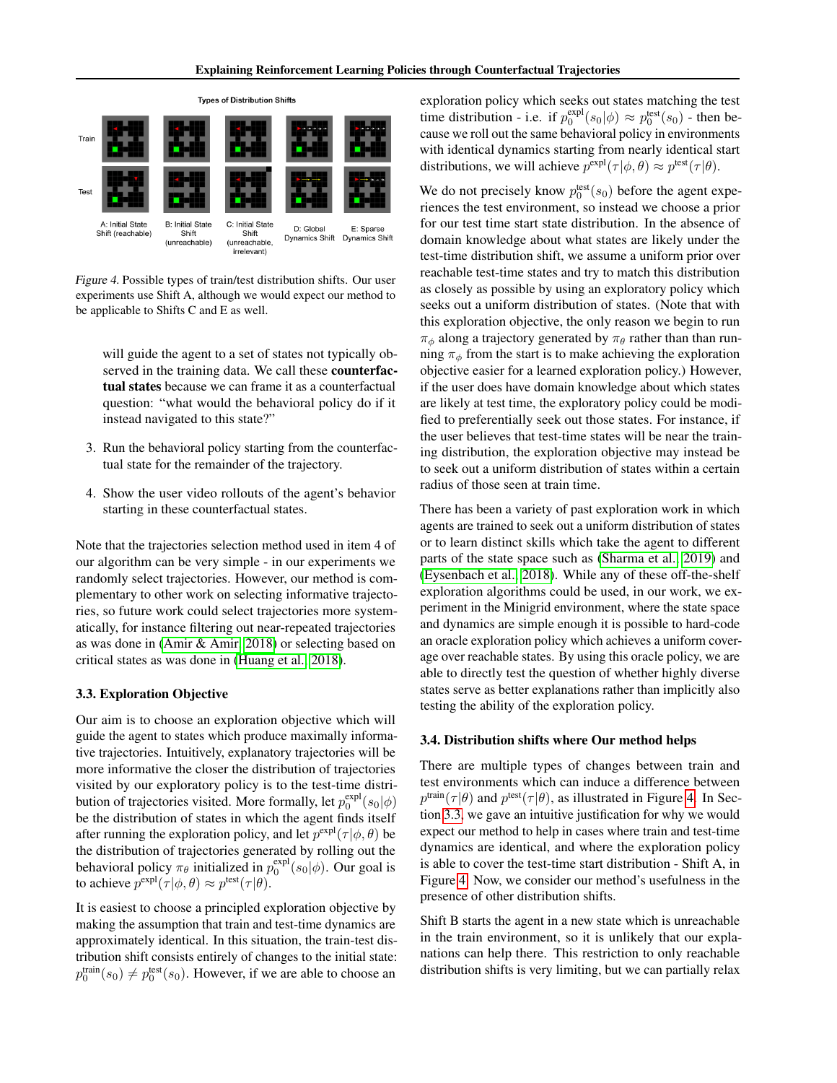

<span id="page-3-1"></span>Figure 4. Possible types of train/test distribution shifts. Our user experiments use Shift A, although we would expect our method to be applicable to Shifts C and E as well.

will guide the agent to a set of states not typically observed in the training data. We call these counterfactual states because we can frame it as a counterfactual question: "what would the behavioral policy do if it instead navigated to this state?"

- 3. Run the behavioral policy starting from the counterfactual state for the remainder of the trajectory.
- 4. Show the user video rollouts of the agent's behavior starting in these counterfactual states.

Note that the trajectories selection method used in item 4 of our algorithm can be very simple - in our experiments we randomly select trajectories. However, our method is complementary to other work on selecting informative trajectories, so future work could select trajectories more systematically, for instance filtering out near-repeated trajectories as was done in [\(Amir & Amir, 2018\)](#page-6-8) or selecting based on critical states as was done in [\(Huang et al., 2018\)](#page-6-7).

#### <span id="page-3-2"></span>3.3. Exploration Objective

Our aim is to choose an exploration objective which will guide the agent to states which produce maximally informative trajectories. Intuitively, explanatory trajectories will be more informative the closer the distribution of trajectories visited by our exploratory policy is to the test-time distribution of trajectories visited. More formally, let  $p_0^{\text{expl}}(s_0|\phi)$ be the distribution of states in which the agent finds itself after running the exploration policy, and let  $p^{\text{expl}}(\tau | \phi, \theta)$  be the distribution of trajectories generated by rolling out the behavioral policy  $\pi_{\theta}$  initialized in  $p_0^{\text{expl}}(s_0|\phi)$ . Our goal is to achieve  $p^{\text{expl}}(\tau | \phi, \theta) \approx p^{\text{test}}(\tau | \theta)$ .

It is easiest to choose a principled exploration objective by making the assumption that train and test-time dynamics are approximately identical. In this situation, the train-test distribution shift consists entirely of changes to the initial state:  $p_0^{\text{train}}(s_0) \neq p_0^{\text{test}}(s_0)$ . However, if we are able to choose an

exploration policy which seeks out states matching the test time distribution - i.e. if  $p_0^{\text{expl}}(s_0|\phi) \approx p_0^{\text{test}}(s_0)$  - then because we roll out the same behavioral policy in environments with identical dynamics starting from nearly identical start distributions, we will achieve  $p^{\text{expl}}(\tau | \phi, \theta) \approx p^{\text{test}}(\tau | \theta)$ .

We do not precisely know  $p_0^{\text{test}}(s_0)$  before the agent experiences the test environment, so instead we choose a prior for our test time start state distribution. In the absence of domain knowledge about what states are likely under the test-time distribution shift, we assume a uniform prior over reachable test-time states and try to match this distribution as closely as possible by using an exploratory policy which seeks out a uniform distribution of states. (Note that with this exploration objective, the only reason we begin to run  $\pi_{\phi}$  along a trajectory generated by  $\pi_{\theta}$  rather than than running  $\pi_{\phi}$  from the start is to make achieving the exploration objective easier for a learned exploration policy.) However, if the user does have domain knowledge about which states are likely at test time, the exploratory policy could be modified to preferentially seek out those states. For instance, if the user believes that test-time states will be near the training distribution, the exploration objective may instead be to seek out a uniform distribution of states within a certain radius of those seen at train time.

There has been a variety of past exploration work in which agents are trained to seek out a uniform distribution of states or to learn distinct skills which take the agent to different parts of the state space such as [\(Sharma et al., 2019\)](#page-6-21) and [\(Eysenbach et al., 2018\)](#page-6-22). While any of these off-the-shelf exploration algorithms could be used, in our work, we experiment in the Minigrid environment, where the state space and dynamics are simple enough it is possible to hard-code an oracle exploration policy which achieves a uniform coverage over reachable states. By using this oracle policy, we are able to directly test the question of whether highly diverse states serve as better explanations rather than implicitly also testing the ability of the exploration policy.

#### <span id="page-3-0"></span>3.4. Distribution shifts where Our method helps

There are multiple types of changes between train and test environments which can induce a difference between  $p^{\text{train}}(\tau|\theta)$  and  $p^{\text{test}}(\tau|\theta)$ , as illustrated in Figure [4.](#page-3-1) In Section [3.3,](#page-3-2) we gave an intuitive justification for why we would expect our method to help in cases where train and test-time dynamics are identical, and where the exploration policy is able to cover the test-time start distribution - Shift A, in Figure [4.](#page-3-1) Now, we consider our method's usefulness in the presence of other distribution shifts.

Shift B starts the agent in a new state which is unreachable in the train environment, so it is unlikely that our explanations can help there. This restriction to only reachable distribution shifts is very limiting, but we can partially relax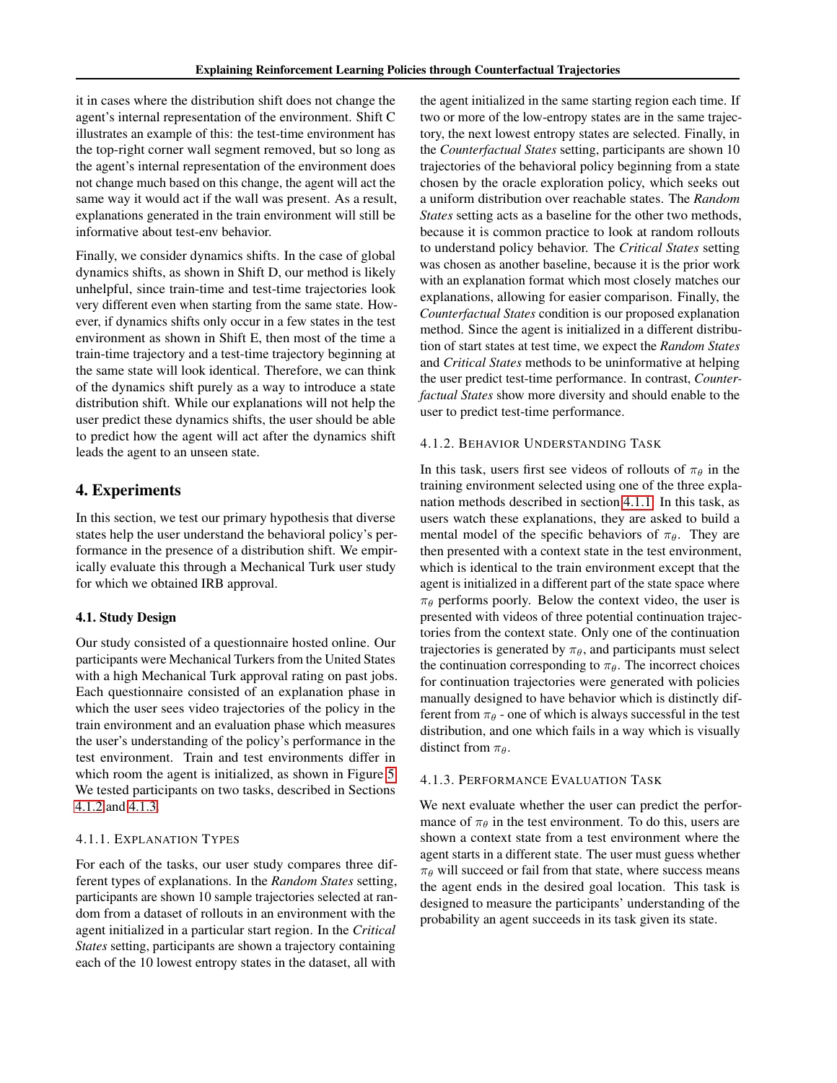it in cases where the distribution shift does not change the agent's internal representation of the environment. Shift C illustrates an example of this: the test-time environment has the top-right corner wall segment removed, but so long as the agent's internal representation of the environment does not change much based on this change, the agent will act the same way it would act if the wall was present. As a result, explanations generated in the train environment will still be informative about test-env behavior.

Finally, we consider dynamics shifts. In the case of global dynamics shifts, as shown in Shift D, our method is likely unhelpful, since train-time and test-time trajectories look very different even when starting from the same state. However, if dynamics shifts only occur in a few states in the test environment as shown in Shift E, then most of the time a train-time trajectory and a test-time trajectory beginning at the same state will look identical. Therefore, we can think of the dynamics shift purely as a way to introduce a state distribution shift. While our explanations will not help the user predict these dynamics shifts, the user should be able to predict how the agent will act after the dynamics shift leads the agent to an unseen state.

# 4. Experiments

In this section, we test our primary hypothesis that diverse states help the user understand the behavioral policy's performance in the presence of a distribution shift. We empirically evaluate this through a Mechanical Turk user study for which we obtained IRB approval.

## 4.1. Study Design

Our study consisted of a questionnaire hosted online. Our participants were Mechanical Turkers from the United States with a high Mechanical Turk approval rating on past jobs. Each questionnaire consisted of an explanation phase in which the user sees video trajectories of the policy in the train environment and an evaluation phase which measures the user's understanding of the policy's performance in the test environment. Train and test environments differ in which room the agent is initialized, as shown in Figure [5.](#page-5-0) We tested participants on two tasks, described in Sections [4.1.2](#page-4-0) and [4.1.3.](#page-4-1)

## <span id="page-4-2"></span>4.1.1. EXPLANATION TYPES

For each of the tasks, our user study compares three different types of explanations. In the *Random States* setting, participants are shown 10 sample trajectories selected at random from a dataset of rollouts in an environment with the agent initialized in a particular start region. In the *Critical States* setting, participants are shown a trajectory containing each of the 10 lowest entropy states in the dataset, all with

the agent initialized in the same starting region each time. If two or more of the low-entropy states are in the same trajectory, the next lowest entropy states are selected. Finally, in the *Counterfactual States* setting, participants are shown 10 trajectories of the behavioral policy beginning from a state chosen by the oracle exploration policy, which seeks out a uniform distribution over reachable states. The *Random States* setting acts as a baseline for the other two methods, because it is common practice to look at random rollouts to understand policy behavior. The *Critical States* setting was chosen as another baseline, because it is the prior work with an explanation format which most closely matches our explanations, allowing for easier comparison. Finally, the *Counterfactual States* condition is our proposed explanation method. Since the agent is initialized in a different distribution of start states at test time, we expect the *Random States* and *Critical States* methods to be uninformative at helping the user predict test-time performance. In contrast, *Counterfactual States* show more diversity and should enable to the user to predict test-time performance.

## <span id="page-4-0"></span>4.1.2. BEHAVIOR UNDERSTANDING TASK

In this task, users first see videos of rollouts of  $\pi_{\theta}$  in the training environment selected using one of the three explanation methods described in section [4.1.1.](#page-4-2) In this task, as users watch these explanations, they are asked to build a mental model of the specific behaviors of  $\pi_{\theta}$ . They are then presented with a context state in the test environment, which is identical to the train environment except that the agent is initialized in a different part of the state space where  $\pi_{\theta}$  performs poorly. Below the context video, the user is presented with videos of three potential continuation trajectories from the context state. Only one of the continuation trajectories is generated by  $\pi_{\theta}$ , and participants must select the continuation corresponding to  $\pi_{\theta}$ . The incorrect choices for continuation trajectories were generated with policies manually designed to have behavior which is distinctly different from  $\pi_{\theta}$  - one of which is always successful in the test distribution, and one which fails in a way which is visually distinct from  $\pi_{\theta}$ .

#### <span id="page-4-1"></span>4.1.3. PERFORMANCE EVALUATION TASK

We next evaluate whether the user can predict the performance of  $\pi_{\theta}$  in the test environment. To do this, users are shown a context state from a test environment where the agent starts in a different state. The user must guess whether  $\pi_{\theta}$  will succeed or fail from that state, where success means the agent ends in the desired goal location. This task is designed to measure the participants' understanding of the probability an agent succeeds in its task given its state.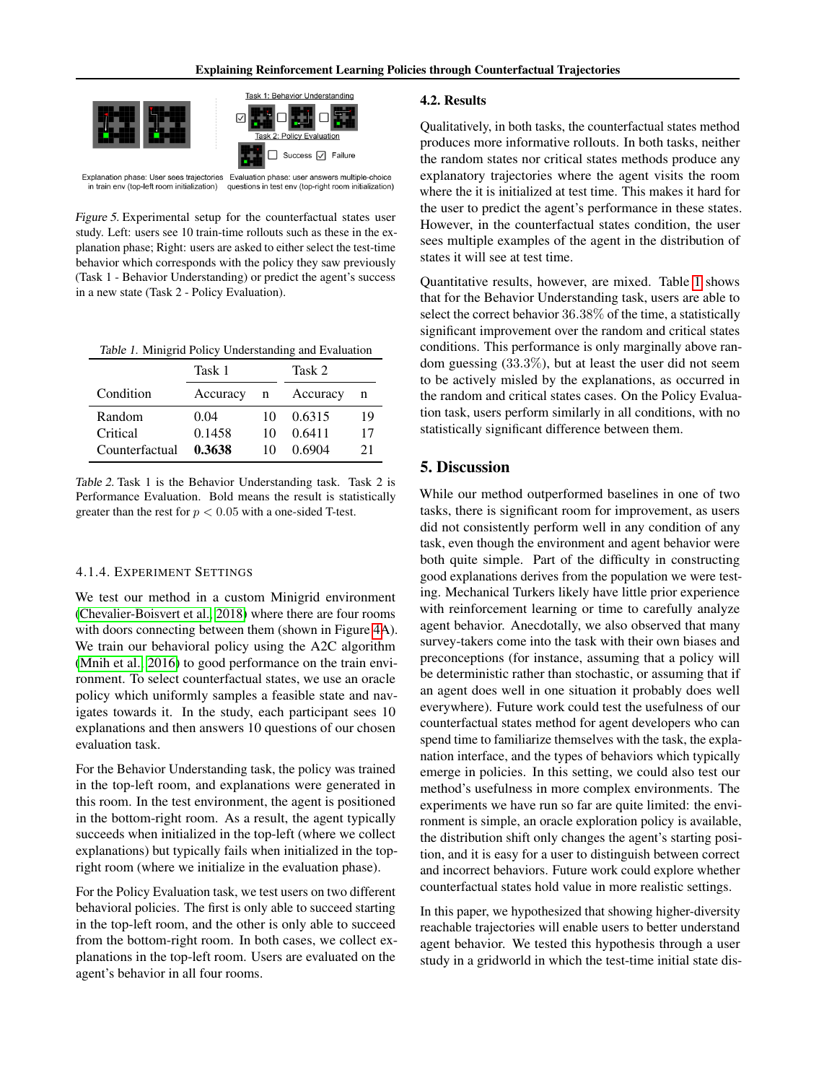

Explanation phase: User sees trajectories Evaluation phase: user answers multiple-choice in train env (top-left room initialization) questions in test env (top-right room initialization)

<span id="page-5-0"></span>Figure 5. Experimental setup for the counterfactual states user study. Left: users see 10 train-time rollouts such as these in the explanation phase; Right: users are asked to either select the test-time behavior which corresponds with the policy they saw previously (Task 1 - Behavior Understanding) or predict the agent's success in a new state (Task 2 - Policy Evaluation).

<span id="page-5-1"></span>Table 1. Minigrid Policy Understanding and Evaluation

|                | Task 1     |    | Task 2   |    |
|----------------|------------|----|----------|----|
| Condition      | Accuracy n |    | Accuracy | n  |
| Random         | 0.04       | 10 | 0.6315   | 19 |
| Critical       | 0.1458     | 10 | 0.6411   | 17 |
| Counterfactual | 0.3638     | 10 | 0.6904   | 21 |

Table 2. Task 1 is the Behavior Understanding task. Task 2 is Performance Evaluation. Bold means the result is statistically greater than the rest for  $p < 0.05$  with a one-sided T-test.

#### 4.1.4. EXPERIMENT SETTINGS

We test our method in a custom Minigrid environment [\(Chevalier-Boisvert et al., 2018\)](#page-6-23) where there are four rooms with doors connecting between them (shown in Figure [4A](#page-3-1)). We train our behavioral policy using the A2C algorithm [\(Mnih et al., 2016\)](#page-6-24) to good performance on the train environment. To select counterfactual states, we use an oracle policy which uniformly samples a feasible state and navigates towards it. In the study, each participant sees 10 explanations and then answers 10 questions of our chosen evaluation task.

For the Behavior Understanding task, the policy was trained in the top-left room, and explanations were generated in this room. In the test environment, the agent is positioned in the bottom-right room. As a result, the agent typically succeeds when initialized in the top-left (where we collect explanations) but typically fails when initialized in the topright room (where we initialize in the evaluation phase).

For the Policy Evaluation task, we test users on two different behavioral policies. The first is only able to succeed starting in the top-left room, and the other is only able to succeed from the bottom-right room. In both cases, we collect explanations in the top-left room. Users are evaluated on the agent's behavior in all four rooms.

#### 4.2. Results

Qualitatively, in both tasks, the counterfactual states method produces more informative rollouts. In both tasks, neither the random states nor critical states methods produce any explanatory trajectories where the agent visits the room where the it is initialized at test time. This makes it hard for the user to predict the agent's performance in these states. However, in the counterfactual states condition, the user sees multiple examples of the agent in the distribution of states it will see at test time.

Quantitative results, however, are mixed. Table [1](#page-5-1) shows that for the Behavior Understanding task, users are able to select the correct behavior 36.38% of the time, a statistically significant improvement over the random and critical states conditions. This performance is only marginally above random guessing (33.3%), but at least the user did not seem to be actively misled by the explanations, as occurred in the random and critical states cases. On the Policy Evaluation task, users perform similarly in all conditions, with no statistically significant difference between them.

# 5. Discussion

While our method outperformed baselines in one of two tasks, there is significant room for improvement, as users did not consistently perform well in any condition of any task, even though the environment and agent behavior were both quite simple. Part of the difficulty in constructing good explanations derives from the population we were testing. Mechanical Turkers likely have little prior experience with reinforcement learning or time to carefully analyze agent behavior. Anecdotally, we also observed that many survey-takers come into the task with their own biases and preconceptions (for instance, assuming that a policy will be deterministic rather than stochastic, or assuming that if an agent does well in one situation it probably does well everywhere). Future work could test the usefulness of our counterfactual states method for agent developers who can spend time to familiarize themselves with the task, the explanation interface, and the types of behaviors which typically emerge in policies. In this setting, we could also test our method's usefulness in more complex environments. The experiments we have run so far are quite limited: the environment is simple, an oracle exploration policy is available, the distribution shift only changes the agent's starting position, and it is easy for a user to distinguish between correct and incorrect behaviors. Future work could explore whether counterfactual states hold value in more realistic settings.

In this paper, we hypothesized that showing higher-diversity reachable trajectories will enable users to better understand agent behavior. We tested this hypothesis through a user study in a gridworld in which the test-time initial state dis